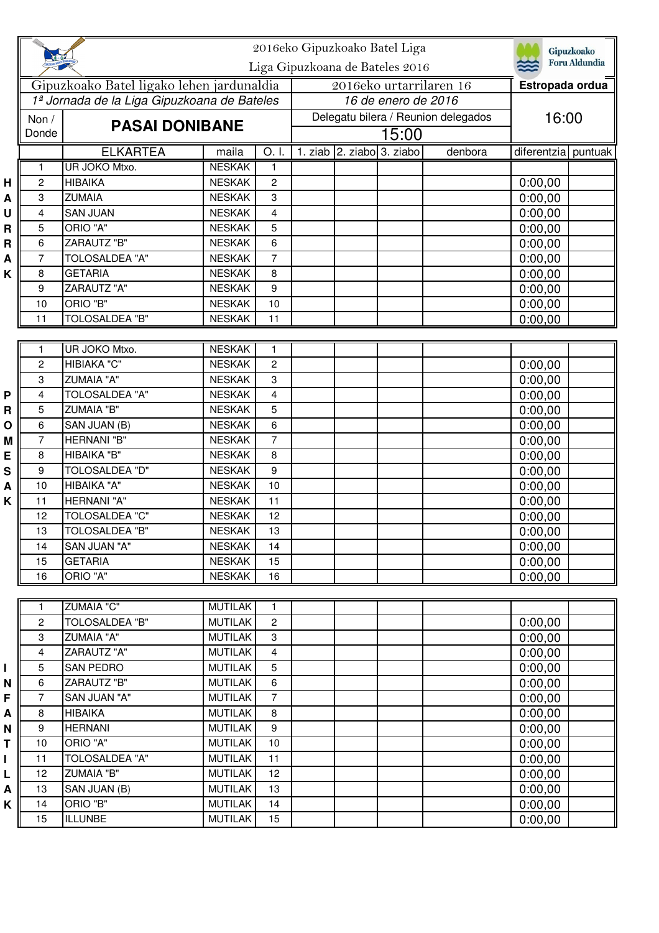|        |                |                                                                      |                                |                     | 2016eko Gipuzkoako Batel Liga<br>Liga Gipuzkoana de Bateles 2016 | Gipuzkoako<br>Foru Aldundia |  |         |                     |  |
|--------|----------------|----------------------------------------------------------------------|--------------------------------|---------------------|------------------------------------------------------------------|-----------------------------|--|---------|---------------------|--|
|        |                | Gipuzkoako Batel ligako lehen jardunaldia                            |                                |                     | 2016eko urtarrilaren 16                                          |                             |  |         | Estropada ordua     |  |
|        |                | 1ª Jornada de la Liga Gipuzkoana de Bateles<br><b>PASAI DONIBANE</b> |                                |                     | 16 de enero de 2016<br>Delegatu bilera / Reunion delegados       |                             |  |         |                     |  |
|        | Non /          |                                                                      |                                |                     |                                                                  |                             |  |         | 16:00               |  |
|        | Donde          |                                                                      |                                |                     | 15:00<br>1. ziab 2. ziabo 3. ziabo                               |                             |  |         |                     |  |
|        |                | <b>ELKARTEA</b>                                                      | maila                          | O. I.               |                                                                  |                             |  | denbora | diferentzia puntuak |  |
|        | 1<br>2         | UR JOKO Mtxo.<br><b>HIBAIKA</b>                                      | <b>NESKAK</b><br><b>NESKAK</b> | 1<br>$\overline{c}$ |                                                                  |                             |  |         |                     |  |
| Н      | 3              | <b>ZUMAIA</b>                                                        | <b>NESKAK</b>                  | 3                   |                                                                  |                             |  |         | 0:00,00<br>0:00,00  |  |
| A<br>U | 4              | <b>SAN JUAN</b>                                                      | <b>NESKAK</b>                  | $\overline{4}$      |                                                                  |                             |  |         | 0:00,00             |  |
| R      | 5              | ORIO "A"                                                             | <b>NESKAK</b>                  | 5                   |                                                                  |                             |  |         | 0:00,00             |  |
| R      | 6              | <b>ZARAUTZ "B"</b>                                                   | <b>NESKAK</b>                  | 6                   |                                                                  |                             |  |         | 0:00,00             |  |
| A      | 7              | <b>TOLOSALDEA "A"</b>                                                | <b>NESKAK</b>                  | $\overline{7}$      |                                                                  |                             |  |         | 0:00,00             |  |
| K      | 8              | <b>GETARIA</b>                                                       | <b>NESKAK</b>                  | 8                   |                                                                  |                             |  |         | 0:00,00             |  |
|        | 9              | <b>ZARAUTZ "A"</b>                                                   | <b>NESKAK</b>                  | 9                   |                                                                  |                             |  |         | 0:00,00             |  |
|        | 10             | ORIO "B"                                                             | <b>NESKAK</b>                  | 10                  |                                                                  |                             |  |         | 0:00,00             |  |
|        | 11             | <b>TOLOSALDEA "B"</b>                                                | <b>NESKAK</b>                  | 11                  |                                                                  |                             |  |         | 0:00,00             |  |
|        |                |                                                                      |                                |                     |                                                                  |                             |  |         |                     |  |
|        | 1              | <b>UR JOKO Mtxo.</b>                                                 | <b>NESKAK</b>                  | $\mathbf{1}$        |                                                                  |                             |  |         |                     |  |
|        | $\overline{c}$ | HIBIAKA "C"                                                          | <b>NESKAK</b>                  | $\overline{c}$      |                                                                  |                             |  |         | 0:00,00             |  |
|        | 3              | <b>ZUMAIA "A"</b>                                                    | <b>NESKAK</b>                  | 3                   |                                                                  |                             |  |         | 0:00,00             |  |
| P      | 4              | TOLOSALDEA "A"                                                       | <b>NESKAK</b>                  | $\overline{4}$      |                                                                  |                             |  |         | 0:00,00             |  |
| R      | 5              | <b>ZUMAIA "B"</b>                                                    | <b>NESKAK</b>                  | 5                   |                                                                  |                             |  |         | 0:00,00             |  |
| O      | 6              | SAN JUAN (B)                                                         | <b>NESKAK</b>                  | 6                   |                                                                  |                             |  |         | 0:00,00             |  |
| M      | 7              | HERNANI "B"                                                          | <b>NESKAK</b>                  | $\overline{7}$      |                                                                  |                             |  |         | 0:00,00             |  |
| E      | 8              | HIBAIKA "B"                                                          | <b>NESKAK</b>                  | 8                   |                                                                  |                             |  |         | 0:00,00             |  |
| S      | 9              | <b>TOLOSALDEA "D"</b>                                                | <b>NESKAK</b>                  | 9                   |                                                                  |                             |  |         | 0:00,00             |  |
| A      | 10             | HIBAIKA "A"                                                          | <b>NESKAK</b>                  | 10                  |                                                                  |                             |  |         | 0:00,00             |  |
| Κ      | 11             | <b>HERNANI "A"</b><br><b>TOLOSALDEA "C"</b>                          | <b>NESKAK</b>                  | 11                  |                                                                  |                             |  |         | 0:00,00             |  |
|        | 12<br>13       | TOLOSALDEA "B"                                                       | <b>NESKAK</b><br><b>NESKAK</b> | 12<br>13            |                                                                  |                             |  |         | 0:00,00             |  |
|        | 14             | SAN JUAN "A"                                                         | <b>NESKAK</b>                  | 14                  |                                                                  |                             |  |         | 0:00,00<br>0:00,00  |  |
|        | 15             | <b>GETARIA</b>                                                       | <b>NESKAK</b>                  | 15                  |                                                                  |                             |  |         | 0:00,00             |  |
|        | 16             | ORIO "A"                                                             | <b>NESKAK</b>                  | 16                  |                                                                  |                             |  |         | 0:00,00             |  |
|        |                |                                                                      |                                |                     |                                                                  |                             |  |         |                     |  |
|        | 1              | ZUMAIA "C"                                                           | <b>MUTILAK</b>                 | $\mathbf{1}$        |                                                                  |                             |  |         |                     |  |
|        | 2              | TOLOSALDEA "B"                                                       | <b>MUTILAK</b>                 | $\mathbf{2}$        |                                                                  |                             |  |         | 0:00,00             |  |
|        | 3              | <b>ZUMAIA "A"</b>                                                    | <b>MUTILAK</b>                 | 3                   |                                                                  |                             |  |         | 0:00,00             |  |
|        | 4              | <b>ZARAUTZ "A"</b>                                                   | <b>MUTILAK</b>                 | 4                   |                                                                  |                             |  |         | 0:00,00             |  |
|        | 5              | <b>SAN PEDRO</b>                                                     | <b>MUTILAK</b>                 | $5\phantom{.0}$     |                                                                  |                             |  |         | 0:00,00             |  |
| Ν      | 6              | ZARAUTZ "B"                                                          | <b>MUTILAK</b>                 | 6                   |                                                                  |                             |  |         | 0:00,00             |  |
| F      | $\overline{7}$ | SAN JUAN "A"                                                         | <b>MUTILAK</b>                 | $\overline{7}$      |                                                                  |                             |  |         | 0:00,00             |  |
| A      | 8              | <b>HIBAIKA</b>                                                       | <b>MUTILAK</b>                 | 8                   |                                                                  |                             |  |         | 0:00,00             |  |
| Ν      | 9              | <b>HERNANI</b>                                                       | <b>MUTILAK</b>                 | $\boldsymbol{9}$    |                                                                  |                             |  |         | 0:00,00             |  |
| т      | 10             | ORIO "A"                                                             | <b>MUTILAK</b>                 | 10                  |                                                                  |                             |  |         | 0:00,00             |  |
|        | 11             | TOLOSALDEA "A"                                                       | <b>MUTILAK</b>                 | 11                  |                                                                  |                             |  |         | 0:00,00             |  |
| L      | 12             | <b>ZUMAIA "B"</b>                                                    | <b>MUTILAK</b>                 | 12                  |                                                                  |                             |  |         | 0:00,00             |  |
| Α      | 13             | SAN JUAN (B)                                                         | <b>MUTILAK</b>                 | 13                  |                                                                  |                             |  |         | 0:00,00             |  |
| Κ      | 14             | ORIO "B"                                                             | <b>MUTILAK</b>                 | 14                  |                                                                  |                             |  |         | 0:00,00             |  |
|        | 15             | <b>ILLUNBE</b>                                                       | <b>MUTILAK</b>                 | 15                  |                                                                  |                             |  |         | 0:00,00             |  |